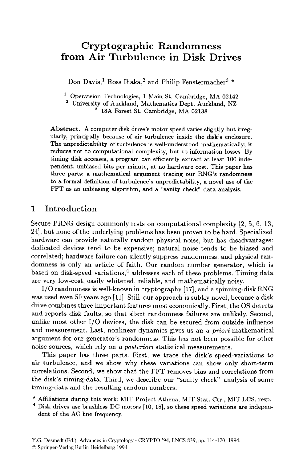# **Cryptographic Randomness from Air Turbulence in Disk Drives**

Don Davis,<sup>1</sup> Ross Ihaka,<sup>2</sup> and Philip Fenstermacher<sup>3</sup> \*

Openvision Technologies, **1** Main St. Cambridge, MA **02142** 

University **of** Auckland, Mathematics Dept, Auckland, **NZ**  18A Forest **St.** Cambridge, MA **02138** 

Abstract. **A** computer disk drive's motor speed varies slightly but irregularly, principally because **of air** turbulence inside the disk's enclosure. The unpredictability of turbulence is well-understood mathematically; it reduces not to computational complexity, but to information losses. By timing disk accesses, a program can efficiently extract at least **100** independent, unbiased bits per minute, at no hardware cost. This paper has three parts: a mathematical argument tracing our **RNG's** randomness to a formal definition of turbulence's unpredictability, a novel use of the FFT **as an** unbiasing algorithm, and a "sanity check" data analysis.

### **1 Introduction**

Secure PRNG design commonly rests on computational complexity *[a, 5, 6,* **13, 241,** but none **of** the underlying problems has been proven to be hard. Specialized hardware can provide naturally random physical noise, but has disadvantages: dedicated devices tend to be expensive; natural noise tends to be biased and correlated; hardware failure can silently suppress randomness; and physical randomness is only an article of faith. Our random number generator, which is based on disk-speed variations,<sup>4</sup> addresses each of these problems. Timing data are very low-cost, easily whitened, reliable, and mathematically noisy.

I/O randomness is well-known in cryptography [17], and a spinning-disk RNG was used even 50 years ago [11]. Still, our approach is subtly novel, because a disk drive combines three important features most economically. First, the OS detects and reports disk faults, so that silent randomness failures are unlikely. Second, unlike most other 1/0 devices, the disk can be secured from outside influence and measurement. Last, nonlinear dynamics gives us an a *priori* mathematical argument for our generator's randomness. This has not been possible for other noise sources, which rely on a *posteriori* statistical measurements.

This paper has three parts. First, we trace the disk's speed-variations to air turbulence, and we show why these variations can show only short-term correlations. Second, we show that the FFT removes bias and correlations from the disk's timing-data. Third, we describe our "sanity check" analysis of some timing-data and the resulting random numbers.

<sup>\*</sup> Affiliations during this **work:** MIT Project Athena, MIT Stat. Ctr., MIT LCS, resp.

Disk drives use brushless DC motors [lo, 181, *so* these speed variations are independent **of** the AC line frequency.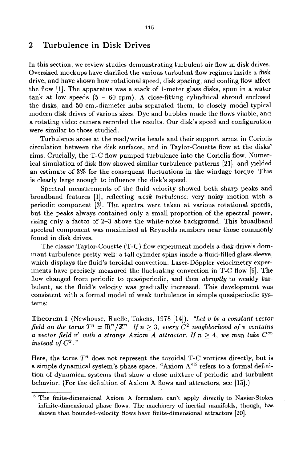## **2 Turbulence** in **Disk Drives**

In this section, we review studies demonstrating turbulent air flow in disk drives. Oversized mockups have clarified the various turbulent flow regimes inside a disk drive, and have shown how rotational speed, disk spacing, and cooling flow affect the flow **[l].** The apparatus was a stack of l-meter glass disks, spun in a water tank at low speeds **(5** - 60 rpm). **A** close-fitting cylindrical shroud enclosed the disks, and **50** cm.-diameter hubs separated them, to closely model typical modern disk drives of various sizes. Dye and bubbles made the flows visible, and a rotating video camera recorded the results. Our disk's speed and configuration were similar to those studied.

Turbulence arose at the read/write heads and their support arms, in Coriolis circulation between the disk surfaces, and in Taylor-Couette flow at the disks' rims. Crucially, the T-C flow pumped turbulence into the Coriolis flow. Numerical simulation of disk flow showed similar turbulence patterns **[21],** and yielded an estimate *of* **3%** for the consequent fluctuations in the windage torque. This is clearly large enough to influence the disk's speed.

Spectral measurements of the fluid velocity showed both sharp peaks and broadband features **[l],** reflecting *weak turbulence:* very noisy motion with a periodic component **[3].** The spectra were taken at various rotational speeds, but, the peaks always contained only a small proportion of the spectral power, rising only a factor of **2-3** above the white-noise background. This broadband spectral component was maximized at Reynolds numbers near those commonly found in disk drives.

The classic Taylor-Couette (T-C) flow experiment models a disk drive's dominant turbulence pretty well: a tall cylinder spins inside a fluid-filled glass sleeve, which displays the fluid's toroidal convection. Laser-Döppler velocimetry experiments have precisely measured the fluctuating convection in T-C flow **[9].** The flow changed from periodic to quasiperiodic, and then *abruptly* to weakly turbulent, as the fluid's velocity was gradually increased. This development was consistent with **a** formal model of weak turbulence in simple quasiperiodic systems:

**Theorem 1** (Newhouse, Ruelle, Takens, **1978 [14]).** *"Let* 'u *be a constant vector field on the torus*  $T^n = \mathbb{R}^n/\mathbb{Z}^n$ . If  $n > 3$ , every  $C^2$  neighborhood of v contains *a vector field v' with a strange Axiom A attractor. If*  $n \geq 4$ *, we may take*  $C^{\infty}$ *instead of*  $C^2$ ."

Here, the torus  $T<sup>n</sup>$  does not represent the toroidal T-C vortices directly, but is a simple dynamical system's phase space. "Axiom A"5 refers to a formal definition of dynamical systems that show a close mixture of periodic and turbulent behavior. (For the definition of Axiom **A** flows and attractors, see **[15].)** 

The finite-dimensional Axiom **A** formalism **can't apply directly** *to* Navier-Stokes infinite-dimensional phase **flows.** The machinery of inertial manifolds, though, **has**  shown that bounded-velocity flows have finite-dimensional attractors **[20].**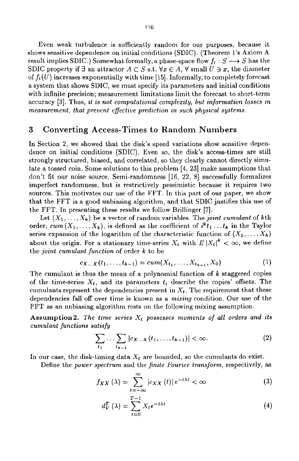Even weak turbulence is sufficiently random for our purposes, because it shows sensitive dependence on initial conditions (SDIC). (Theorem 1's Axiom **A**  result implies SDIC.) Somewhat formally, a phase-space flow  $f_t : S \longrightarrow S$  has the SDIC property if  $\exists$  an attractor  $A \subset S$  s.t.  $\forall x \in A$ ,  $\forall$  small  $U \ni x$ , the diameter of  $f_t(U)$  increases exponentially with time [15]. Informally, to completely forecast a system that shows SDIC, we must specify its parameters and initial conditions with infinite precision; measurement limitations limit the forecast to short-term accuracy **[3].** Thus, *it is not computational complexity, but information losses in measurement, that prevent effective prediction in such physical systems.* 

#### **3 Converting Access-Times to** Random **Numbers**

In Section 2, we showed that the disk's speed variations show sensitive dependence on initial conditions (SDIC). Even so, the disk's access-times are still strongly structured, biased, and correlated, so they clearly cannot directly simulate a tossed coin. Some solutions to this problem **[4, 231** make assumptions that don't fit our noise source. Semi-randomness [16, 22, 81 successfully formalizes imperfect randomness, but is restrictively pessimistic because it requires two sources. This motivates our use of the FFT. In this part of our paper, we show that the FFT is a good unbiasing algorithm, and that SDIC justifies this **use** of the FFT. In presenting these results we follow Brillinger [7].

Let  $(X_1, \ldots, X_k)$  be a vector of random variables. The *joint cumulant* of kth order,  $cum(X_1, ..., X_k)$ , is defined as the coefficient of  $i^kt_1...t_k$  in the Taylor series expansion of the logarithm of the characteristic function of  $(X_1, \ldots, X_k)$ about the origin. For a stationary time-series  $X_t$  with  $E |X_t|^k < \infty$ , we define the *joint cumulant function* of order *k* to be

$$
c_{X...X}(t_1,\ldots,t_{k-1})=cum(X_{t_1},\ldots,X_{t_{k-1}},X_0)
$$
\n(1)

The cumulant is thus the mean of a polynomial function of *k* staggered copies of the time-series  $X_t$ , and its parameters  $t_i$  describe the copies' offsets. The cumulants represent the dependencies present in  $X_t$ . The requirement that these dependencies fall off over time is known as a *mixing* condition. Our use of the FFT **as** an unbiasing algorithm rests on the following mixing assumption.

Assumption 2. The time series  $X_t$  possesses moments of all orders and its *cumulant functions satisfy* 

$$
\sum_{t_1} \ldots \sum_{t_{k-1}} |c_{X\ldots X}(t_1,\ldots,t_{k-1})| < \infty. \tag{2}
$$

In our case, the disk-timing data *Xt* are bounded, so the cumulants do exist.

Define the *power spectrum* and the *finite Fourier transform,* respectively, as

$$
f_{XX}(\lambda) = \sum_{t=-\infty}^{\infty} |c_{XX}(t)| e^{-i\lambda t} < \infty
$$
 (3)

$$
d_V^T(\lambda) = \sum_{t=0}^{T-1} X_t e^{-i\lambda t}
$$
 (4)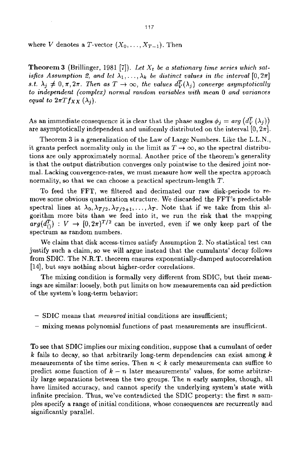where *V* denotes a *T*-vector  $(X_0, \ldots, X_{T-1})$ . Then

**Theorem 3** (Brillinger, 1981 [7]). Let  $X_t$  be a stationary time series which sat*isfies Assumption 2, and let*  $\lambda_1, \ldots, \lambda_k$  *be distinct values in the interval*  $[0, 2\pi]$ *s.t.*  $\lambda_j \neq 0, \pi, 2\pi$ . Then as  $T \to \infty$ , the values  $d_V^T(\lambda_j)$  converge asymptotically *to independent (complex) normal random variables with mean 0 and variances equal to*  $2\pi T f_{XX}(\lambda_i)$ .

As an immediate consequence it is clear that the phase angles  $\phi_i = arg(d_V^T(\lambda_i))$ are asymptotically independent and uniformly distributed on the interval  $[0, 2\pi]$ .

Theorem **3** is a generalization of the Law of Large Numbers. Like the L.L.N., it grants perfect normality only in the limit as  $T \rightarrow \infty$ , so the spectral distributions are only approximately normal. Another price of the theorem's generality is that the output distribution converges only pointwise to the desired joint normal. Lacking convergence-rates, we must measure how well the spectra approach normality, so that we can choose a practical spectrum-length *T.* 

To feed the FFT, we filtered and decimated our raw disk-periods to remove some obvious quantization structure. We discarded the FFT's predictable spectral lines at  $\lambda_0, \lambda_{T/2}, \lambda_{T/2+1}, \ldots, \lambda_T$ . Note that if we take from this algorithm more bits than we feed into it, we run the risk that the mapping  $arg(d_{()}^T): V \rightarrow [0, 2\pi)^{T/2}$  can be inverted, even if we only keep part of the spectrum as random numbers.

We claim that disk access-times satisfy Assumption 2. No statistical test can justify such a claim, so we will argue instead that the cumulants' decay follows from SDIC. The N.R.T. theorem ensures exponentially-damped autocorrelation **[14],** but says nothing about higher-order correlations.

The mixing condition is formally very different from SDIC, but their meanings are similar: loosely, both put limits on how measurements can aid prediction of the system's long-term behavior:

- SDIC means that *measwred* initial conditions **are** insufficient;
- mixing means polynomial functions of past measurements are insufficient.

To see that SDIC implies our mixing condition, suppose that a cumulant of order *k* fails to decay, so that arbitrarily long-term dependencies can exist among *<sup>k</sup>* measurements of the time series. Then  $n < k$  early measurements can suffice to predict some function of  $k - n$  later measurements' values, for some arbitrarily large separations between the two groups. The *n* early samples, though, all have limited accuracy, and cannot specify the underlying system's state with infinite precision. Thus, we've contradicted the SDIC property: the first *n* samples specify a range of initial conditions, whose consequences are recurrently and significantly parallel.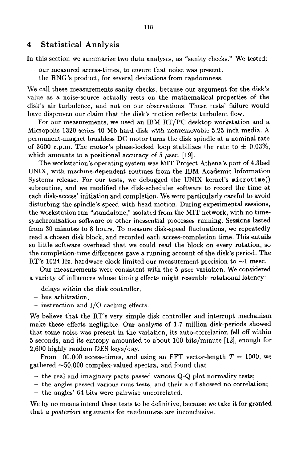#### **4 Statistical Analysis**

In this section we summarize two data analyses, as "sanity checks.'' We tested:

- our measured access-times, to ensure that noise was present.
- the RNG's product, for several deviations from randomness.

We call these measurements sanity checks, because our argument for the disk's value **as** a noise-source actually rests on the mathematical properties of the disk's air turbulence, and not on our observations. These tests' failure would have disproven our claim that the disk's motion reflects turbulent flow.

**For** our measurements, we used an IBM RT/PC desktop workstation and a Micropolis **1320** series 40 Mb hard disk with nonremovable **5.25** inch media. A permanent-magnet brushless DC motor turns the disk spindle at a nominal rate of 3600 r.p.m. The motor's phase-locked loop stabilizes the rate to  $\pm$  0.03%, which amounts to a positional accuracy of  $5 \mu$ sec. [19].

The workstation's operating system was MIT Project Athena's port of 4.3bsd UNIX, with machine-dependent routines from the IBM Academic Information Systems release. For our tests, we debugged the UNIX kernel's **microtime()**  subroutine, and we modified the disk-scheduler software to record the time at each disk-access' initiation and completion. We were particularly careful to avoid disturbing the spindle's speed with head motion. During experimental sessions, the workstation ran "standalone," isolated from the MIT network, with no timesynchronization software or other inessential processes running. Sessions lasted from 30 minutes to **8** hours. To measure disk-speed fluctuations, we repeatedly read a chosen disk block, and recorded each access-completion time. This entails so little software overhead that we could read the block on every rotation, so the completion-time differences gave a running account of the disk's period. The RT's 1024 Hz. hardware clock limited our measurement precision to  $\sim$ 1 msec.

Our measurements were consistent with the  $5$   $\mu$ sec variation. We considered a variety of influences whose timing effects might resemble rotational latency:

- <sup>~</sup>delays within the disk controller,
- bus arbitration,
- $-$  instruction and I/O caching effects.

We believe that the RT's very simple disk controller and interrupt mechanism make these effects negligible. Our analysis of **1.7** million disk-periods showed that some noise was present in the variation, its auto-correlation fell off within 5 seconds, and its entropy amounted to about 100 bits/minute **[12],** enough for 2,600 highly random DES keys/day.

From 100,000 access-times, and using an FFT vector-length  $T = 1000$ , we gathered  $\sim 50,000$  complex-valued spectra, and found that

- $-$  the real and imaginary parts passed various  $Q-Q$  plot normality tests;
- the angles passed various runs tests, and their a.c.f showed no correlation;
- the angles' 64 bits were pairwise uncorrelated.

We by no means intend these tests to be definitive, because we take it for granted that a *posteriori* arguments **for** randomness are inconclusive.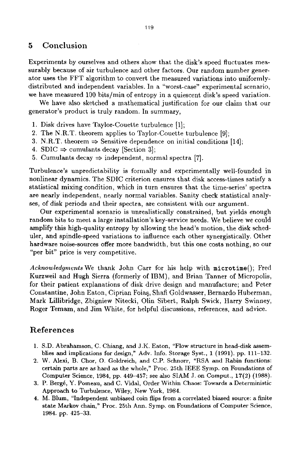#### *5* **Conclusion**

Experiments by ourselves and others show that the disk's speed fluctuates measurably because of air turbulence and other factors. Our random number generator uses the FFT algorithm to convert the measured variations into uniformlydistributed and independent variables. In a "worst-case" experimental scenario, we have measured 100 bits/min of entropy in a quiescent disk's speed variation.

We have also sketched a mathematical justification for our claim that our generator's product is truly random. In summary,

- 1. Disk drives have Taylor-Couette turbulence [l];
- **2.** The N.R.T. theorem applies to Taylor-Couette turbulence [9];
- 3. N.R.T. theorem  $\Rightarrow$  Sensitive dependence on initial conditions [14];
- 4. **SDIC**  $\Rightarrow$  cumulants decay [Section 3];
- 5. Cumulants decay  $\Rightarrow$  independent, normal spectra [7].

Turbulence's unpredictability is formally and experimentally well-founded in nonlinear dynamics. The SDIC criterion ensures that disk access-times satisfy a statistical mixing condition, which in turn ensures that the time-series' spectra **are** nearly independent, nearly normal variables. Sanity check statistical analyses, of disk periods and their spectra, are consistent with our argument.

Our experimental scenario is unrealistically constrained, but yields enough random bits to meet a large installation's key-service needs. We believe we could amplify this high-quality entropy by allowing the head's motion, the disk scheduler, and spindle-speed variations to influence each other synergistically. Other hardware noise-sources offer more bandwidth, but this one costs nothing, so our "per bit" price is very competitive.

*Acknowledgments* We thank John Carr for his help with **microtime();** Fred Kurzweil and Hugh Sierra (formerly of IBM), and Brian Tanner of Micropolis, for their patient explanations of disk drive design and manufacture; and Peter Constantine, John Eaton, Ciprian Foiaq, Shafi Goldwasser, Bernard0 Huberman, Mark Lillibridge, Zbigniew Nitecki, Olin Sibert, Ralph Swick, Harry Swinney, Roger Temam, and Jim White, for helpful discussions, references, and advice.

# **References**

- **1.** S.D. Abrahamson, C. Chiang, and J.K. Eaton, "Flow structure in head-disk assemblies and implications for design," Adv. Info. Storage Syst., **1 (1991).** pp. **111-132.**
- 2. W. Alexi, B. Chor, 0. Goldreich, and C.P. Schnorr, "RSA and Rabin functions: certain parts are as hard **as** the whole," Proc. 25th IEEE Symp. **on** Foundations of Computer Science, 1984, pp. 449-457; see also SIAM J. on Comput., **17(2) (1988).**
- **3.** P. Berg&, Y. Pomeau, and **C.** Vidal, Order Witahin Chaos: Towards a Deterministic Approach to Turbulence, Wiley, **New York,** 1984.
- **4.** M. Blum, "Independent unbiased coin flips from a correlated biased source: a finite state Markov chain," **Proc. 25th Ann.** Symp. on Foundations of Computer Science, 1984. pp. 425-33.